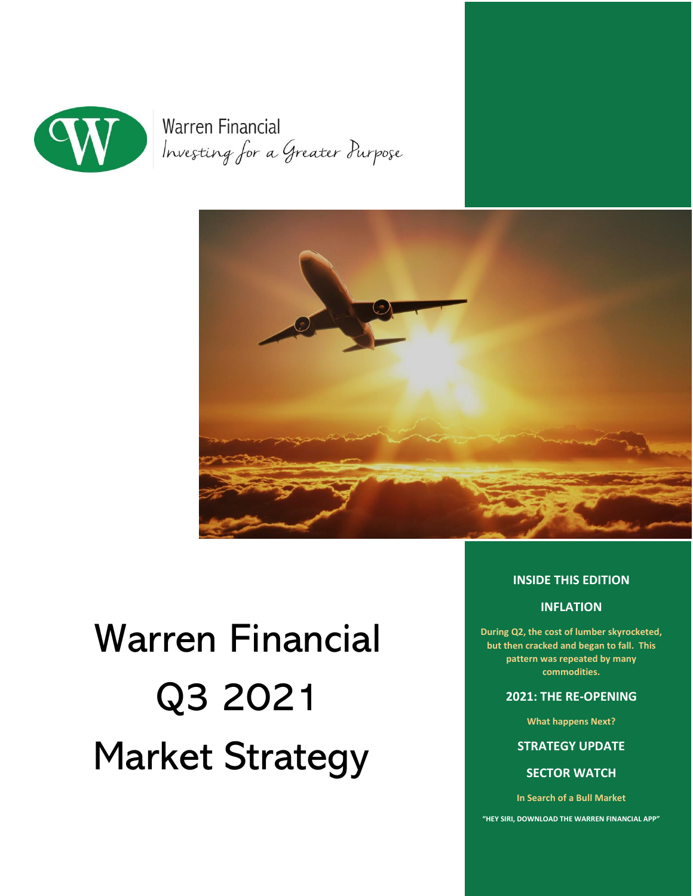

**Warren Financial** Investing for a Greater Purpose



# Warren Financial Q3 2021 Market Strategy

#### **INSIDE THIS EDITION**

#### **INFLATION**

**During Q2, the cost of lumber skyrocketed, but then cracked and began to fall. This pattern was repeated by many commodities.**

#### **2021: THE RE-OPENING**

**What happens Next?**

**STRATEGY UPDATE** 

**SECTOR WATCH** 

**In Search of a Bull Market**

**"HEY SIRI, DOWNLOAD THE WARREN FINANCIAL APP"**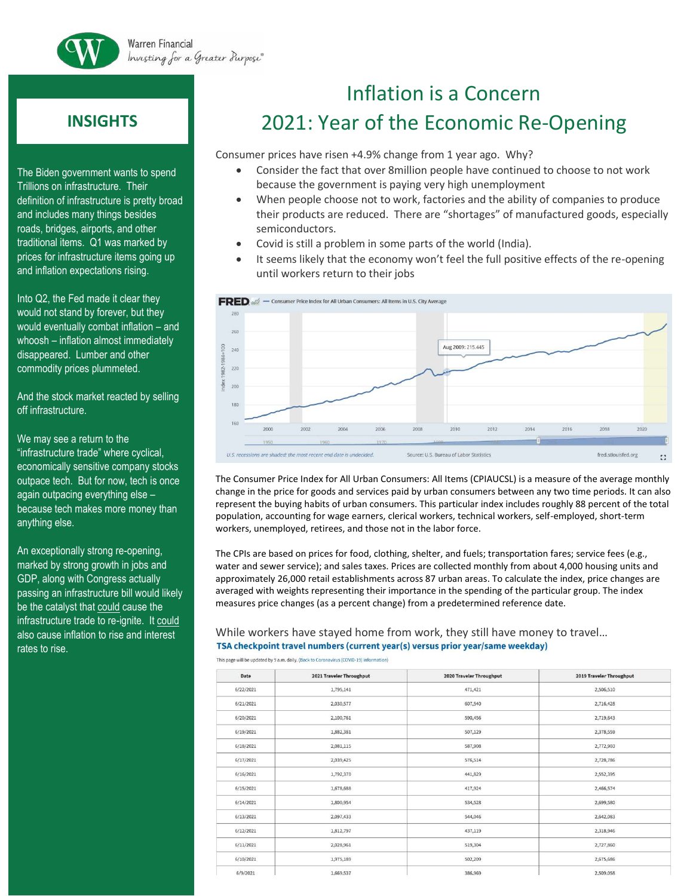

**Warren Financial** Investing for a Greater Purpose®

## **INSIGHTS**

The Biden government wants to spend Trillions on infrastructure. Their definition of infrastructure is pretty broad and includes many things besides roads, bridges, airports, and other traditional items. Q1 was marked by prices for infrastructure items going up and inflation expectations rising.

Into Q2, the Fed made it clear they would not stand by forever, but they would eventually combat inflation – and whoosh – inflation almost immediately disappeared. Lumber and other commodity prices plummeted.

And the stock market reacted by selling off infrastructure.

We may see a return to the "infrastructure trade" where cyclical, economically sensitive company stocks outpace tech. But for now, tech is once again outpacing everything else – because tech makes more money than anything else.

An exceptionally strong re-opening, marked by strong growth in jobs and GDP, along with Congress actually passing an infrastructure bill would likely be the catalyst that could cause the infrastructure trade to re-ignite. It could also cause inflation to rise and interest rates to rise.

# Inflation is a Concern 2021: Year of the Economic Re-Opening

Consumer prices have risen +4.9% change from 1 year ago. Why?

- Consider the fact that over 8million people have continued to choose to not work because the government is paying very high unemployment
- When people choose not to work, factories and the ability of companies to produce their products are reduced. There are "shortages" of manufactured goods, especially semiconductors.
- Covid is still a problem in some parts of the world (India).
- It seems likely that the economy won't feel the full positive effects of the re-opening until workers return to their jobs



The Consumer Price Index for All Urban Consumers: All Items (CPIAUCSL) is a measure of the average monthly change in the price for goods and services paid by urban consumers between any two time periods. It can also represent the buying habits of urban consumers. This particular index includes roughly 88 percent of the total population, accounting for wage earners, clerical workers, technical workers, self-employed, short-term workers, unemployed, retirees, and those not in the labor force.

The CPIs are based on prices for food, clothing, shelter, and fuels; transportation fares; service fees (e.g., water and sewer service); and sales taxes. Prices are collected monthly from about 4,000 housing units and approximately 26,000 retail establishments across 87 urban areas. To calculate the index, price changes are averaged with weights representing their importance in the spending of the particular group. The index measures price changes (as a percent change) from a predetermined reference date.

#### While workers have stayed home from work, they still have money to travel… TSA checkpoint travel numbers (current year(s) versus prior year/same weekday)

This page will be undated by 9 a.m. daily. (Back to Coronavirus (COVID-19) information)

| Date      | 2021 Traveler Throughput | 2020 Traveler Throughput | 2019 Traveler Throughput |
|-----------|--------------------------|--------------------------|--------------------------|
| 6/22/2021 | 1,795,141                | 471,421                  | 2,506,510                |
| 6/21/2021 | 2,030,577                | 607,540                  | 2,716,428                |
| 6/20/2021 | 2,100,761                | 590,456                  | 2,719,643                |
| 6/19/2021 | 1,882,381                | 507,129                  | 2,378,559                |
| 6/18/2021 | 2,081,115                | 587,908                  | 2,772,903                |
| 6/17/2021 | 2,039,425                | 576,514                  | 2,728,786                |
| 6/16/2021 | 1,792,370                | 441,829                  | 2,552,395                |
| 6/15/2021 | 1,678,688                | 417,924                  | 2,466,574                |
| 6/14/2021 | 1,800,954                | 534,528                  | 2,699,580                |
| 6/13/2021 | 2,097,433                | 544,046                  | 2,642,083                |
| 6/12/2021 | 1,812,797                | 437,119                  | 2,318,946                |
| 6/11/2021 | 2,028,961                | 519,304                  | 2,727,860                |
| 6/10/2021 | 1,975,189                | 502,209                  | 2,675,686                |
| 6/9/2021  | 1,669,537                | 386,969                  | 2,509,058                |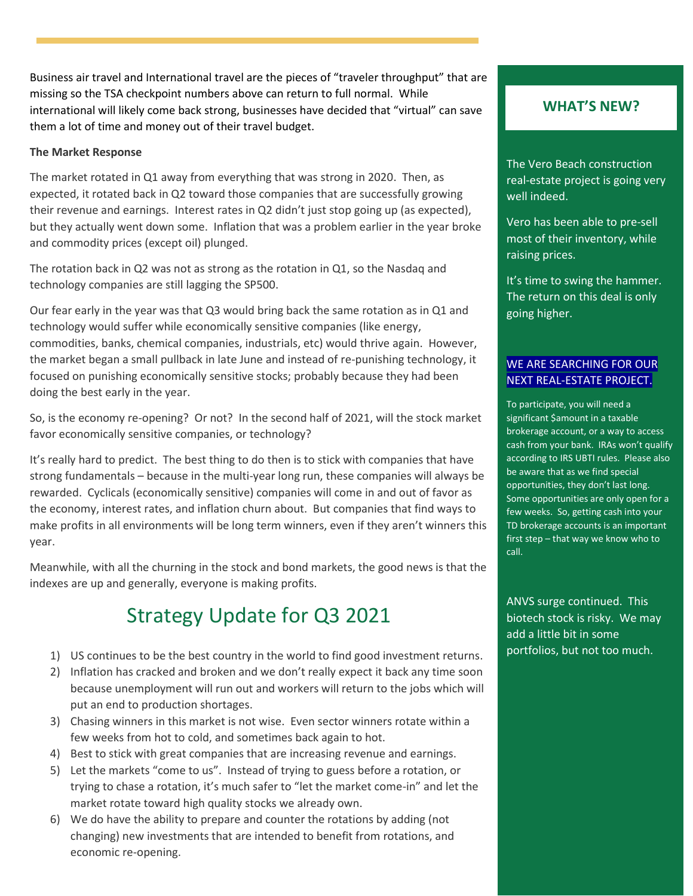Business air travel and International travel are the pieces of "traveler throughput" that are missing so the TSA checkpoint numbers above can return to full normal. While international will likely come back strong, businesses have decided that "virtual" can save them a lot of time and money out of their travel budget.

#### **The Market Response**

The market rotated in Q1 away from everything that was strong in 2020. Then, as expected, it rotated back in Q2 toward those companies that are successfully growing their revenue and earnings. Interest rates in Q2 didn't just stop going up (as expected), but they actually went down some. Inflation that was a problem earlier in the year broke and commodity prices (except oil) plunged.

The rotation back in Q2 was not as strong as the rotation in Q1, so the Nasdaq and technology companies are still lagging the SP500.

Our fear early in the year was that Q3 would bring back the same rotation as in Q1 and technology would suffer while economically sensitive companies (like energy, commodities, banks, chemical companies, industrials, etc) would thrive again. However, the market began a small pullback in late June and instead of re-punishing technology, it focused on punishing economically sensitive stocks; probably because they had been doing the best early in the year.

So, is the economy re-opening? Or not? In the second half of 2021, will the stock market favor economically sensitive companies, or technology?

It's really hard to predict. The best thing to do then is to stick with companies that have strong fundamentals – because in the multi-year long run, these companies will always be rewarded. Cyclicals (economically sensitive) companies will come in and out of favor as the economy, interest rates, and inflation churn about. But companies that find ways to make profits in all environments will be long term winners, even if they aren't winners this year.

Meanwhile, with all the churning in the stock and bond markets, the good news is that the indexes are up and generally, everyone is making profits.

# Strategy Update for Q3 2021

- 1) US continues to be the best country in the world to find good investment returns.
- 2) Inflation has cracked and broken and we don't really expect it back any time soon because unemployment will run out and workers will return to the jobs which will put an end to production shortages.
- 3) Chasing winners in this market is not wise. Even sector winners rotate within a few weeks from hot to cold, and sometimes back again to hot.
- 4) Best to stick with great companies that are increasing revenue and earnings.
- 5) Let the markets "come to us". Instead of trying to guess before a rotation, or trying to chase a rotation, it's much safer to "let the market come-in" and let the market rotate toward high quality stocks we already own.
- 6) We do have the ability to prepare and counter the rotations by adding (not changing) new investments that are intended to benefit from rotations, and economic re-opening.

#### **WHAT'S NEW?**

The Vero Beach construction real-estate project is going very well indeed.

Vero has been able to pre-sell most of their inventory, while raising prices.

It's time to swing the hammer. The return on this deal is only going higher.

#### WE ARE SEARCHING FOR OUR NEXT REAL-ESTATE PROJECT.

To participate, you will need a significant \$amount in a taxable brokerage account, or a way to access cash from your bank. IRAs won't qualify according to IRS UBTI rules. Please also be aware that as we find special opportunities, they don't last long. Some opportunities are only open for a few weeks. So, getting cash into your TD brokerage accounts is an important first step – that way we know who to call.

ANVS surge continued. This biotech stock is risky. We may add a little bit in some portfolios, but not too much.